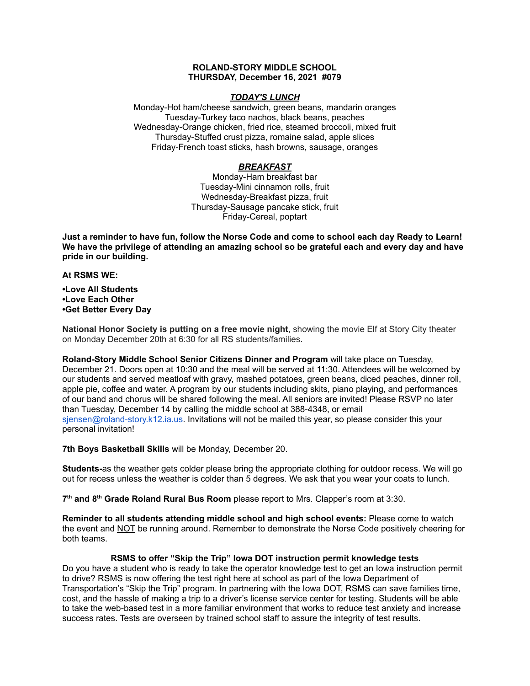### **ROLAND-STORY MIDDLE SCHOOL THURSDAY, December 16, 2021 #079**

## *TODAY'S LUNCH*

Monday-Hot ham/cheese sandwich, green beans, mandarin oranges Tuesday-Turkey taco nachos, black beans, peaches Wednesday-Orange chicken, fried rice, steamed broccoli, mixed fruit Thursday-Stuffed crust pizza, romaine salad, apple slices Friday-French toast sticks, hash browns, sausage, oranges

# *BREAKFAST*

Monday-Ham breakfast bar Tuesday-Mini cinnamon rolls, fruit Wednesday-Breakfast pizza, fruit Thursday-Sausage pancake stick, fruit Friday-Cereal, poptart

Just a reminder to have fun, follow the Norse Code and come to school each day Ready to Learn! **We have the privilege of attending an amazing school so be grateful each and every day and have pride in our building.**

## **At RSMS WE:**

**•Love All Students •Love Each Other •Get Better Every Day**

**National Honor Society is putting on a free movie night**, showing the movie Elf at Story City theater on Monday December 20th at 6:30 for all RS students/families.

**Roland-Story Middle School Senior Citizens Dinner and Program** will take place on Tuesday, December 21. Doors open at 10:30 and the meal will be served at 11:30. Attendees will be welcomed by our students and served meatloaf with gravy, mashed potatoes, green beans, diced peaches, dinner roll, apple pie, coffee and water. A program by our students including skits, piano playing, and performances of our band and chorus will be shared following the meal. All seniors are invited! Please RSVP no later than Tuesday, December 14 by calling the middle school at 388-4348, or email sjensen@roland-story.k12.ia.us. Invitations will not be mailed this year, so please consider this your personal invitation!

**7th Boys Basketball Skills** will be Monday, December 20.

**Students-**as the weather gets colder please bring the appropriate clothing for outdoor recess. We will go out for recess unless the weather is colder than 5 degrees. We ask that you wear your coats to lunch.

**7 th and 8 th Grade Roland Rural Bus Room** please report to Mrs. Clapper's room at 3:30.

**Reminder to all students attending middle school and high school events:** Please come to watch the event and NOT be running around. Remember to demonstrate the Norse Code positively cheering for both teams.

# **RSMS to offer "Skip the Trip" Iowa DOT instruction permit knowledge tests**

Do you have a student who is ready to take the operator knowledge test to get an Iowa instruction permit to drive? RSMS is now offering the test right here at school as part of the Iowa Department of Transportation's "Skip the Trip" program. In partnering with the Iowa DOT, RSMS can save families time, cost, and the hassle of making a trip to a driver's license service center for testing. Students will be able to take the web-based test in a more familiar environment that works to reduce test anxiety and increase success rates. Tests are overseen by trained school staff to assure the integrity of test results.